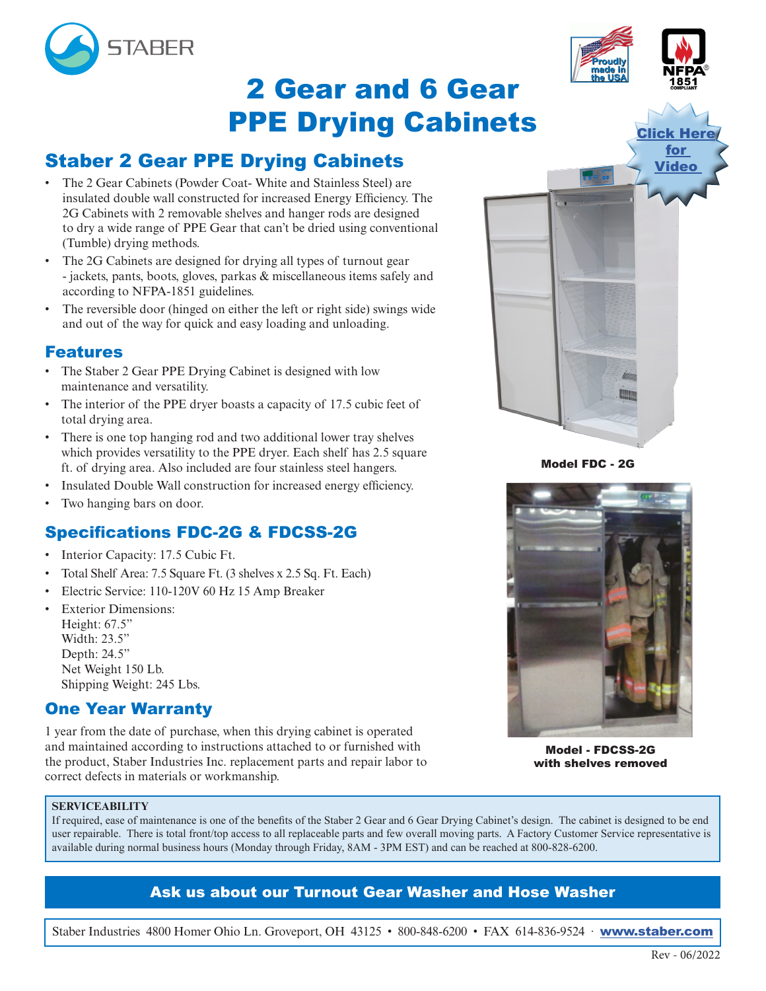

# 2 Gear and 6 Gear PPE Drying Cabinets

## Staber 2 Gear PPE Drying Cabinets

- The 2 Gear Cabinets (Powder Coat- White and Stainless Steel) are insulated double wall constructed for increased Energy Efficiency. The 2G Cabinets with 2 removable shelves and hanger rods are designed to dry a wide range of PPE Gear that can't be dried using conventional (Tumble) drying methods.
- The 2G Cabinets are designed for drying all types of turnout gear - jackets, pants, boots, gloves, parkas & miscellaneous items safely and according to NFPA-1851 guidelines.
- The reversible door (hinged on either the left or right side) swings wide and out of the way for quick and easy loading and unloading.

### Features

- The Staber 2 Gear PPE Drying Cabinet is designed with low maintenance and versatility.
- The interior of the PPE dryer boasts a capacity of 17.5 cubic feet of total drying area.
- There is one top hanging rod and two additional lower tray shelves which provides versatility to the PPE dryer. Each shelf has 2.5 square ft. of drying area. Also included are four stainless steel hangers.
- Insulated Double Wall construction for increased energy efficiency.
- Two hanging bars on door.

## Specifications FDC-2G & FDCSS-2G

- Interior Capacity: 17.5 Cubic Ft.
- Total Shelf Area: 7.5 Square Ft. (3 shelves x 2.5 Sq. Ft. Each)
- Electric Service: 110-120V 60 Hz 15 Amp Breaker
- **Exterior Dimensions:** Height: 67.5" Width: 23.5" Depth: 24.5" Net Weight 150 Lb. Shipping Weight: 245 Lbs.

### One Year Warranty

1 year from the date of purchase, when this drying cabinet is operated and maintained according to instructions attached to or furnished with the product, Staber Industries Inc. replacement parts and repair labor to correct defects in materials or workmanship.



Model FDC - 2G



Model - FDCSS-2G with shelves removed

#### **SERVICEABILITY**

If required, ease of maintenance is one of the benefits of the Staber 2 Gear and 6 Gear Drying Cabinet's design. The cabinet is designed to be end user repairable. There is total front/top access to all replaceable parts and few overall moving parts. A Factory Customer Service representative is available during normal business hours (Monday through Friday, 8AM - 3PM EST) and can be reached at 800-828-6200.

### Ask us about our Turnout Gear Washer and Hose Washer

Staber Industries 4800 Homer Ohio Ln. Groveport, OH 43125 • 800-848-6200 • FAX 614-836-9524 · [www.staber.com](http://www.staber.com)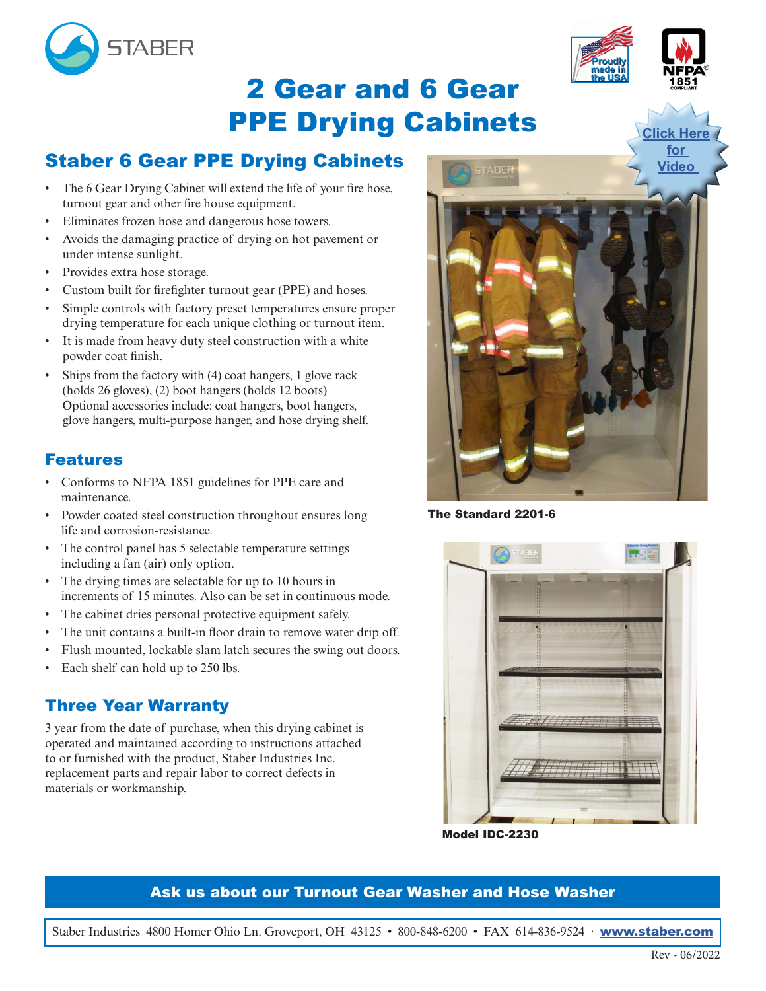

# 2 Gear and 6 Gear PPE Drying Cabinets

## Staber 6 Gear PPE Drying Cabinets

- The 6 Gear Drying Cabinet will extend the life of your fire hose, turnout gear and other fire house equipment.
- Eliminates frozen hose and dangerous hose towers.
- Avoids the damaging practice of drying on hot pavement or under intense sunlight.
- Provides extra hose storage.
- Custom built for firefighter turnout gear (PPE) and hoses.
- Simple controls with factory preset temperatures ensure proper drying temperature for each unique clothing or turnout item.
- It is made from heavy duty steel construction with a white powder coat finish.
- Ships from the factory with (4) coat hangers, 1 glove rack (holds 26 gloves), (2) boot hangers (holds 12 boots) Optional accessories include: coat hangers, boot hangers, glove hangers, multi-purpose hanger, and hose drying shelf.

## Features

- Conforms to NFPA 1851 guidelines for PPE care and maintenance.
- Powder coated steel construction throughout ensures long life and corrosion-resistance.
- The control panel has 5 selectable temperature settings including a fan (air) only option.
- The drying times are selectable for up to 10 hours in increments of 15 minutes. Also can be set in continuous mode.
- The cabinet dries personal protective equipment safely.
- The unit contains a built-in floor drain to remove water drip off.
- Flush mounted, lockable slam latch secures the swing out doors.
- Each shelf can hold up to 250 lbs.

## Three Year Warranty

3 year from the date of purchase, when this drying cabinet is operated and maintained according to instructions attached to or furnished with the product, Staber Industries Inc. replacement parts and repair labor to correct defects in materials or workmanship.



The Standard 2201-6



Model IDC-2230

## Ask us about our Turnout Gear Washer and Hose Washer

Staber Industries 4800 Homer Ohio Ln. Groveport, OH 43125 • 800-848-6200 • FAX 614-836-9524 · [www.staber.com](http://www.staber.com)